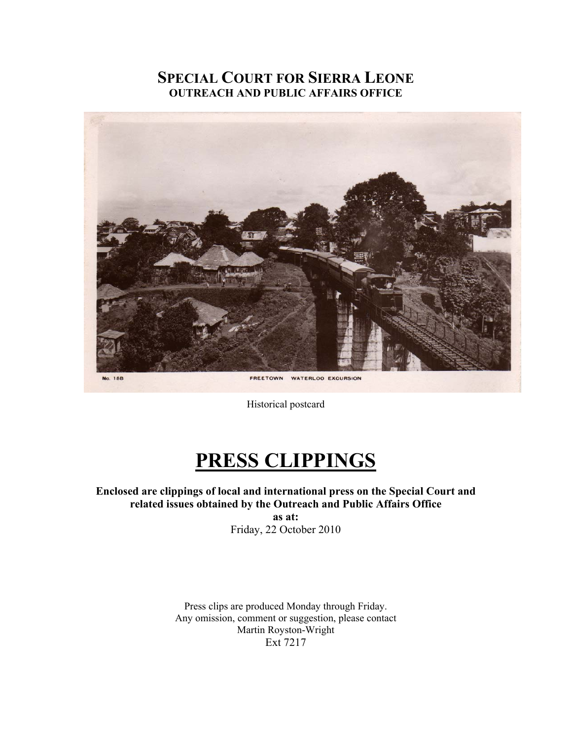# **SPECIAL COURT FOR SIERRA LEONE OUTREACH AND PUBLIC AFFAIRS OFFICE**



Historical postcard

# **PRESS CLIPPINGS**

**Enclosed are clippings of local and international press on the Special Court and related issues obtained by the Outreach and Public Affairs Office as at:**  Friday, 22 October 2010

> Press clips are produced Monday through Friday. Any omission, comment or suggestion, please contact Martin Royston-Wright Ext 7217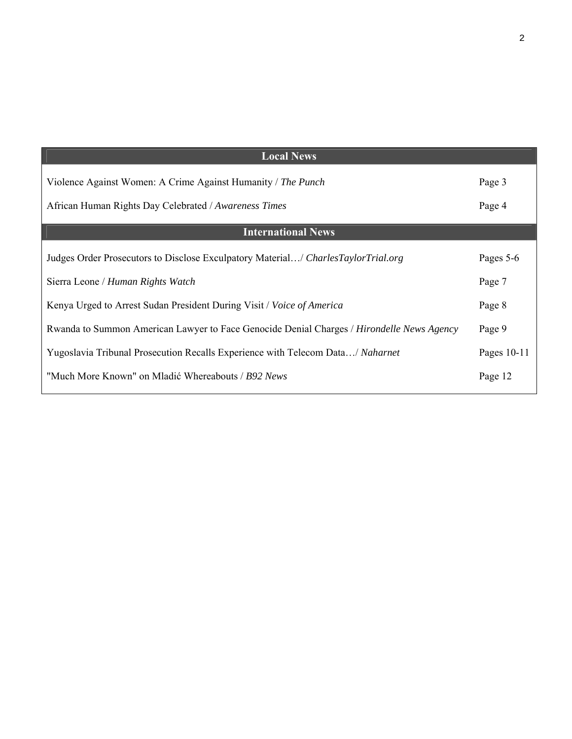| <b>Local News</b>                                                                         |             |
|-------------------------------------------------------------------------------------------|-------------|
| Violence Against Women: A Crime Against Humanity / The Punch                              | Page 3      |
| African Human Rights Day Celebrated / Awareness Times                                     | Page 4      |
| <b>International News</b>                                                                 |             |
| Judges Order Prosecutors to Disclose Exculpatory Material/ CharlesTaylorTrial.org         | Pages 5-6   |
| Sierra Leone / Human Rights Watch                                                         | Page 7      |
| Kenya Urged to Arrest Sudan President During Visit / Voice of America                     | Page 8      |
| Rwanda to Summon American Lawyer to Face Genocide Denial Charges / Hirondelle News Agency | Page 9      |
| Yugoslavia Tribunal Prosecution Recalls Experience with Telecom Data/ Naharnet            | Pages 10-11 |
| "Much More Known" on Mladić Whereabouts / B92 News                                        | Page 12     |
|                                                                                           |             |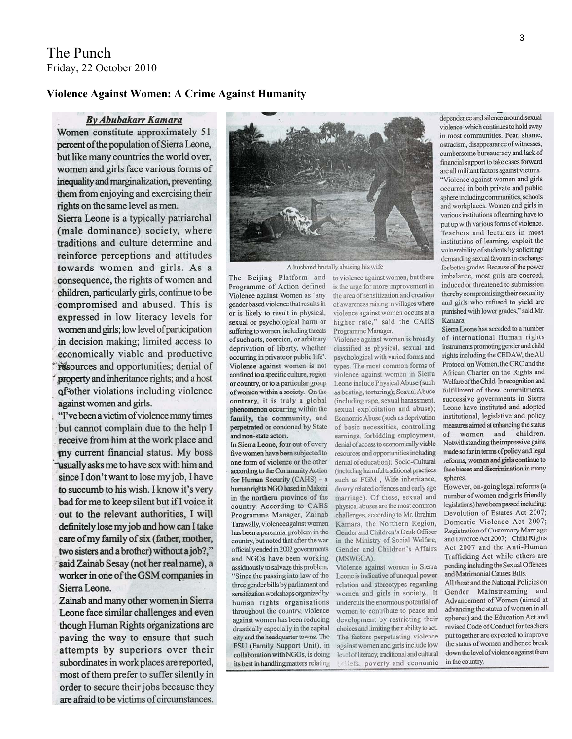#### **Violence Against Women: A Crime Against Humanity**

#### **By Abubakarr Kamara**

Women constitute approximately 51 percent of the population of Sierra Leone, but like many countries the world over, women and girls face various forms of inequality and marginalization, preventing them from enjoying and exercising their rights on the same level as men.

Sierra Leone is a typically patriarchal (male dominance) society, where traditions and culture determine and reinforce perceptions and attitudes towards women and girls. As a consequence, the rights of women and children, particularly girls, continue to be compromised and abused. This is expressed in low literacy levels for women and girls; low level of participation in decision making; limited access to economically viable and productive resources and opportunities; denial of property and inheritance rights; and a host of other violations including violence against women and girls.

"I've been a victim of violence many times but cannot complain due to the help I receive from him at the work place and my current financial status. My boss usually asks me to have sex with him and since I don't want to lose my job, I have to succumb to his wish. I know it's very bad for me to keep silent but if I voice it out to the relevant authorities, I will definitely lose my job and how can I take care of my family of six (father, mother, two sisters and a brother) without a job?," said Zainab Sesay (not her real name), a worker in one of the GSM companies in Sierra Leone.

Zainab and many other women in Sierra Leone face similar challenges and even though Human Rights organizations are paving the way to ensure that such attempts by superiors over their subordinates in work places are reported, most of them prefer to suffer silently in order to secure their jobs because they are afraid to be victims of circumstances.



A husband brutally abusing his wife

Programme of Action defined Violence against Women as 'any gender based violence that results in or is likely to result in physical, sexual or psychological harm or suffering to women, including threats of such acts, coercion, or arbitrary deprivation of liberty, whether occurring in private or public life'. Violence against women is not confined to a specific culture, region or country, or to a particular group of women within a society. On the contrary, it is truly a global phenomenon occurring within the family, the community, and perpetrated or condoned by State and non-state actors.

In Sierra Leone, four out of every five women have been subjected to one form of violence or the other according to the Community Action for Human Security (CAHS) - a human rights NGO based in Makeni in the northern province of the country. According to CAHS Programme Manager, Zainab Tarawally, violence against women has been a percnnial problem in the country, but noted that after the war officially ended in 2002 governments and NGOs have been working assiduously to salvage this problem. "Since the passing into law of the three gender bills by parliament and sensitization workshops organized by human rights organisations throughout the country, violence against women has been reducing drastically especially in the capital city and the headquarter towns. The FSU (Family Support Unit), in collaboration with NGOs, is doing its best in handling matters relating

The Beijing Platform and to violence against women, but there is the urge for more improvement in the area of sensitization and creation of awareness raising in villages where violence against women occurs at a higher rate," said the CAHS Programme Manager.

Violence against women is broadly classified as physical, sexual and psychological with varied forms and types. The most common forms of violence against women in Sierra Leone include Physical Abuse (such as beating, torturing); Sexual Abuse (including rape, sexual harassment, sexual exploitation and abuse); Economic Abuse (such as deprivation of basic necessities, controlling earnings, forbidding employment, denial of access to economically viable resources and opportunities including denial of education); Socio-Cultural (including harmful traditional practices such as FGM, Wife inheritance, dowry related offences and early age marriage). Of these, sexual and physical abuses are the most common challenges, according to Mr. Ibrahim Kamara, the Northern Region, Gender and Children's Desk Officer in the Ministry of Social Welfare, Gender and Children's Affairs (MSWGCA).

Violence against women in Sierra Leone is indicative of unequal power relation and stereotypes regarding women and girls in society. It undercuts the enormous potential of women to contribute to peace and development by restricting their choices and limiting their ability to act. The factors perpetuating violence against women and girls include low level of literacy, traditional and cultural Unliefs, poverty and economic

dependence and silence around sexual violence-which continues to hold sway in most communities. Fear, shame, ostracism, disappearance of witnesses, cumbersome bureaucracy and lack of financial support to take cases forward are all militant factors against victims.

"Violence against women and girls occurred in both private and public sphere including communities, schools and workplaces. Women and girls in various institutions of learning have to put up with various forms of violence. Teachers and lecturers in most institutions of learning, exploit the vulnerability of students by soliciting/ demanding sexual favours in exchange for better grades. Because of the power imbalance, most girls are coerced, induced or threatened to submission thereby compromising their sexuality and girls who refused to yield are punished with lower grades," said Mr. Kamara.

Sierra Leone has acceded to a number of international Human rights instruments promoting gender and child rights including the CEDAW, the AU Protocol on Women, the CRC and the African Charter on the Rights and Welfare of the Child. In recognition and fulfillment of those commitments, successive governments in Sierra Leone have instituted and adopted institutional, legislative and policy measures aimed at enhancing the status of women and children. Notwithstanding the impressive gains made so far in terms of policy and legal reforms, women and girls continue to face biases and discrimination in many spheres.

However, on-going legal reforms (a number of women and girls friendly legislations) have been passed including: Devolution of Estates Act 2007; Domestic Violence Act 2007; Registration of Customary Marriage and Divorce Act 2007; Child Rights Act 2007 and the Anti-Human Trafficking Act while others are pending including the Sexual Offences and Matrimonial Causes Bills.

All these and the National Policies on Gender Mainstreaming and Advancement of Women (aimed at advancing the status of women in all spheres) and the Education Act and revised Code of Conduct for teachers put together are expected to improve the status of women and hence break down the level of violence against them in the country.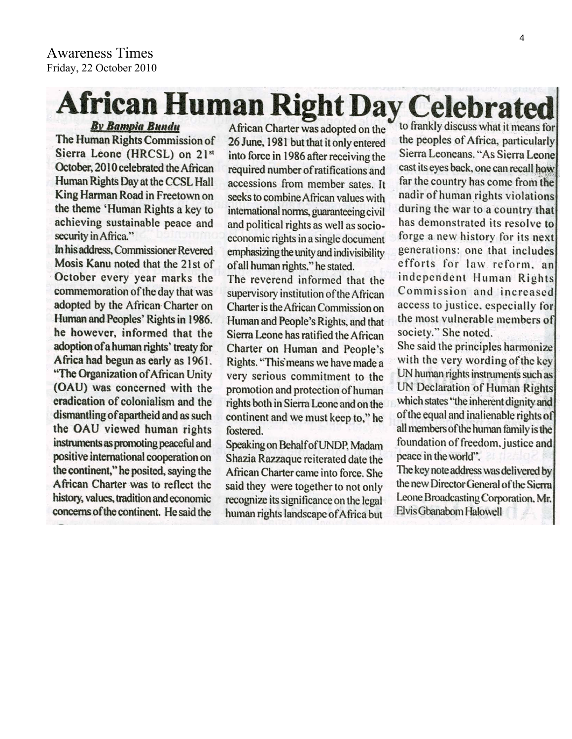# **African Human Right Day Celebrated**

**By Bampia Bundu** The Human Rights Commission of Sierra Leone (HRCSL) on 21st October, 2010 celebrated the African Human Rights Day at the CCSL Hall King Harman Road in Freetown on the theme 'Human Rights a key to achieving sustainable peace and security in Africa."

In his address, Commissioner Revered Mosis Kanu noted that the 21st of October every year marks the commemoration of the day that was adopted by the African Charter on Human and Peoples' Rights in 1986. he however, informed that the adoption of a human rights' treaty for Africa had begun as early as 1961. "The Organization of African Unity (OAU) was concerned with the eradication of colonialism and the dismantling of apartheid and as such the OAU viewed human rights instruments as promoting peaceful and positive international cooperation on the continent," he posited, saying the African Charter was to reflect the history, values, tradition and economic concerns of the continent. He said the

African Charter was adopted on the 26 June, 1981 but that it only entered into force in 1986 after receiving the required number of ratifications and accessions from member sates. It seeks to combine African values with international norms, guaranteeing civil and political rights as well as socioeconomic rights in a single document emphasizing the unity and indivisibility of all human rights," he stated.

The reverend informed that the supervisory institution of the African Charter is the African Commission on Human and People's Rights, and that Sierra Leone has ratified the African Charter on Human and People's Rights. "This means we have made a very serious commitment to the promotion and protection of human rights both in Sierra Leone and on the continent and we must keep to," he fostered.

Speaking on Behalf of UNDP, Madam Shazia Razzaque reiterated date the African Charter came into force. She said they were together to not only recognize its significance on the legal human rights landscape of Africa but

to frankly discuss what it means for the peoples of Africa, particularly Sierra Leoneans. "As Sierra Leone cast its eyes back, one can recall how far the country has come from the nadir of human rights violations during the war to a country that has demonstrated its resolve to forge a new history for its next generations: one that includes efforts for law reform, an independent Human Rights Commission and increased access to justice, especially for the most vulnerable members of society." She noted.

She said the principles harmonize with the very wording of the key UN human rights instruments such as **UN Declaration of Human Rights** which states "the inherent dignity and of the equal and inalienable rights of all members of the human family is the foundation of freedom, justice and peace in the world".

The key note address was delivered by the new Director General of the Sierra Leone Broadcasting Corporation, Mr. Elvis Gbanabom Halowell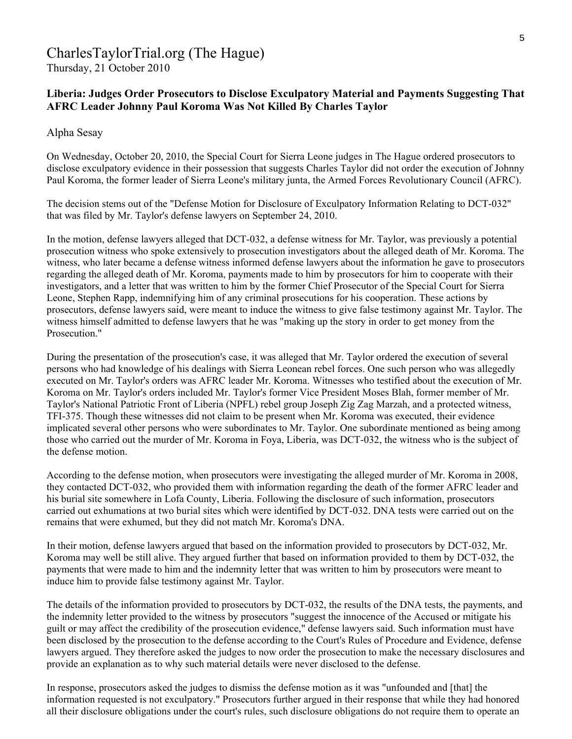# CharlesTaylorTrial.org (The Hague)

Thursday, 21 October 2010

## **Liberia: Judges Order Prosecutors to Disclose Exculpatory Material and Payments Suggesting That AFRC Leader Johnny Paul Koroma Was Not Killed By Charles Taylor**

#### Alpha Sesay

On Wednesday, October 20, 2010, the Special Court for Sierra Leone judges in The Hague ordered prosecutors to disclose exculpatory evidence in their possession that suggests Charles Taylor did not order the execution of Johnny Paul Koroma, the former leader of Sierra Leone's military junta, the Armed Forces Revolutionary Council (AFRC).

The decision stems out of the "Defense Motion for Disclosure of Exculpatory Information Relating to DCT-032" that was filed by Mr. Taylor's defense lawyers on September 24, 2010.

In the motion, defense lawyers alleged that DCT-032, a defense witness for Mr. Taylor, was previously a potential prosecution witness who spoke extensively to prosecution investigators about the alleged death of Mr. Koroma. The witness, who later became a defense witness informed defense lawyers about the information he gave to prosecutors regarding the alleged death of Mr. Koroma, payments made to him by prosecutors for him to cooperate with their investigators, and a letter that was written to him by the former Chief Prosecutor of the Special Court for Sierra Leone, Stephen Rapp, indemnifying him of any criminal prosecutions for his cooperation. These actions by prosecutors, defense lawyers said, were meant to induce the witness to give false testimony against Mr. Taylor. The witness himself admitted to defense lawyers that he was "making up the story in order to get money from the Prosecution<sup>"</sup>

During the presentation of the prosecution's case, it was alleged that Mr. Taylor ordered the execution of several persons who had knowledge of his dealings with Sierra Leonean rebel forces. One such person who was allegedly executed on Mr. Taylor's orders was AFRC leader Mr. Koroma. Witnesses who testified about the execution of Mr. Koroma on Mr. Taylor's orders included Mr. Taylor's former Vice President Moses Blah, former member of Mr. Taylor's National Patriotic Front of Liberia (NPFL) rebel group Joseph Zig Zag Marzah, and a protected witness, TFI-375. Though these witnesses did not claim to be present when Mr. Koroma was executed, their evidence implicated several other persons who were subordinates to Mr. Taylor. One subordinate mentioned as being among those who carried out the murder of Mr. Koroma in Foya, Liberia, was DCT-032, the witness who is the subject of the defense motion.

According to the defense motion, when prosecutors were investigating the alleged murder of Mr. Koroma in 2008, they contacted DCT-032, who provided them with information regarding the death of the former AFRC leader and his burial site somewhere in Lofa County, Liberia. Following the disclosure of such information, prosecutors carried out exhumations at two burial sites which were identified by DCT-032. DNA tests were carried out on the remains that were exhumed, but they did not match Mr. Koroma's DNA.

In their motion, defense lawyers argued that based on the information provided to prosecutors by DCT-032, Mr. Koroma may well be still alive. They argued further that based on information provided to them by DCT-032, the payments that were made to him and the indemnity letter that was written to him by prosecutors were meant to induce him to provide false testimony against Mr. Taylor.

The details of the information provided to prosecutors by DCT-032, the results of the DNA tests, the payments, and the indemnity letter provided to the witness by prosecutors "suggest the innocence of the Accused or mitigate his guilt or may affect the credibility of the prosecution evidence," defense lawyers said. Such information must have been disclosed by the prosecution to the defense according to the Court's Rules of Procedure and Evidence, defense lawyers argued. They therefore asked the judges to now order the prosecution to make the necessary disclosures and provide an explanation as to why such material details were never disclosed to the defense.

In response, prosecutors asked the judges to dismiss the defense motion as it was "unfounded and [that] the information requested is not exculpatory." Prosecutors further argued in their response that while they had honored all their disclosure obligations under the court's rules, such disclosure obligations do not require them to operate an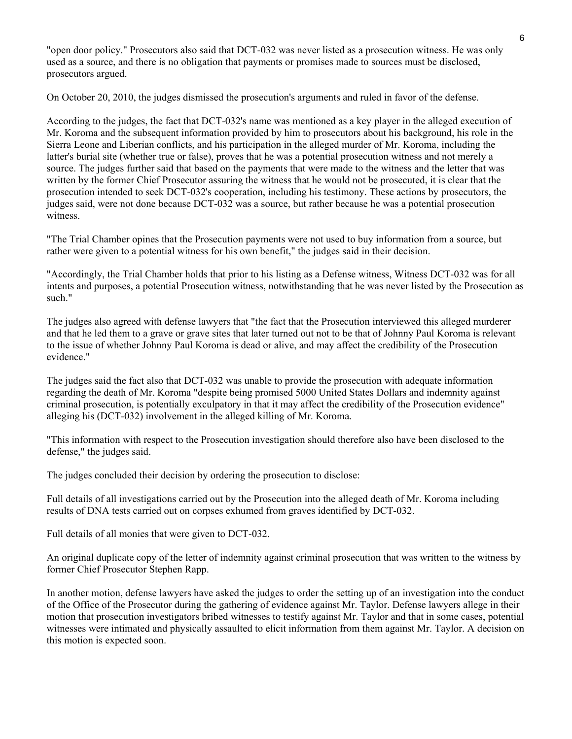"open door policy." Prosecutors also said that DCT-032 was never listed as a prosecution witness. He was only used as a source, and there is no obligation that payments or promises made to sources must be disclosed, prosecutors argued.

On October 20, 2010, the judges dismissed the prosecution's arguments and ruled in favor of the defense.

According to the judges, the fact that DCT-032's name was mentioned as a key player in the alleged execution of Mr. Koroma and the subsequent information provided by him to prosecutors about his background, his role in the Sierra Leone and Liberian conflicts, and his participation in the alleged murder of Mr. Koroma, including the latter's burial site (whether true or false), proves that he was a potential prosecution witness and not merely a source. The judges further said that based on the payments that were made to the witness and the letter that was written by the former Chief Prosecutor assuring the witness that he would not be prosecuted, it is clear that the prosecution intended to seek DCT-032's cooperation, including his testimony. These actions by prosecutors, the judges said, were not done because DCT-032 was a source, but rather because he was a potential prosecution witness.

"The Trial Chamber opines that the Prosecution payments were not used to buy information from a source, but rather were given to a potential witness for his own benefit," the judges said in their decision.

"Accordingly, the Trial Chamber holds that prior to his listing as a Defense witness, Witness DCT-032 was for all intents and purposes, a potential Prosecution witness, notwithstanding that he was never listed by the Prosecution as such."

The judges also agreed with defense lawyers that "the fact that the Prosecution interviewed this alleged murderer and that he led them to a grave or grave sites that later turned out not to be that of Johnny Paul Koroma is relevant to the issue of whether Johnny Paul Koroma is dead or alive, and may affect the credibility of the Prosecution evidence."

The judges said the fact also that DCT-032 was unable to provide the prosecution with adequate information regarding the death of Mr. Koroma "despite being promised 5000 United States Dollars and indemnity against criminal prosecution, is potentially exculpatory in that it may affect the credibility of the Prosecution evidence" alleging his (DCT-032) involvement in the alleged killing of Mr. Koroma.

"This information with respect to the Prosecution investigation should therefore also have been disclosed to the defense," the judges said.

The judges concluded their decision by ordering the prosecution to disclose:

Full details of all investigations carried out by the Prosecution into the alleged death of Mr. Koroma including results of DNA tests carried out on corpses exhumed from graves identified by DCT-032.

Full details of all monies that were given to DCT-032.

An original duplicate copy of the letter of indemnity against criminal prosecution that was written to the witness by former Chief Prosecutor Stephen Rapp.

In another motion, defense lawyers have asked the judges to order the setting up of an investigation into the conduct of the Office of the Prosecutor during the gathering of evidence against Mr. Taylor. Defense lawyers allege in their motion that prosecution investigators bribed witnesses to testify against Mr. Taylor and that in some cases, potential witnesses were intimated and physically assaulted to elicit information from them against Mr. Taylor. A decision on this motion is expected soon.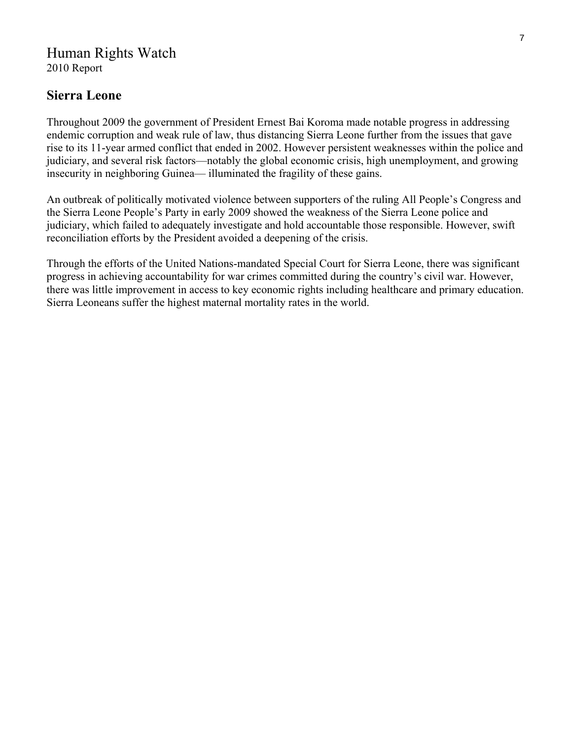# Human Rights Watch

2010 Report

## **Sierra Leone**

Throughout 2009 the government of President Ernest Bai Koroma made notable progress in addressing endemic corruption and weak rule of law, thus distancing Sierra Leone further from the issues that gave rise to its 11-year armed conflict that ended in 2002. However persistent weaknesses within the police and judiciary, and several risk factors—notably the global economic crisis, high unemployment, and growing insecurity in neighboring Guinea— illuminated the fragility of these gains.

An outbreak of politically motivated violence between supporters of the ruling All People's Congress and the Sierra Leone People's Party in early 2009 showed the weakness of the Sierra Leone police and judiciary, which failed to adequately investigate and hold accountable those responsible. However, swift reconciliation efforts by the President avoided a deepening of the crisis.

Through the efforts of the United Nations-mandated Special Court for Sierra Leone, there was significant progress in achieving accountability for war crimes committed during the country's civil war. However, there was little improvement in access to key economic rights including healthcare and primary education. Sierra Leoneans suffer the highest maternal mortality rates in the world.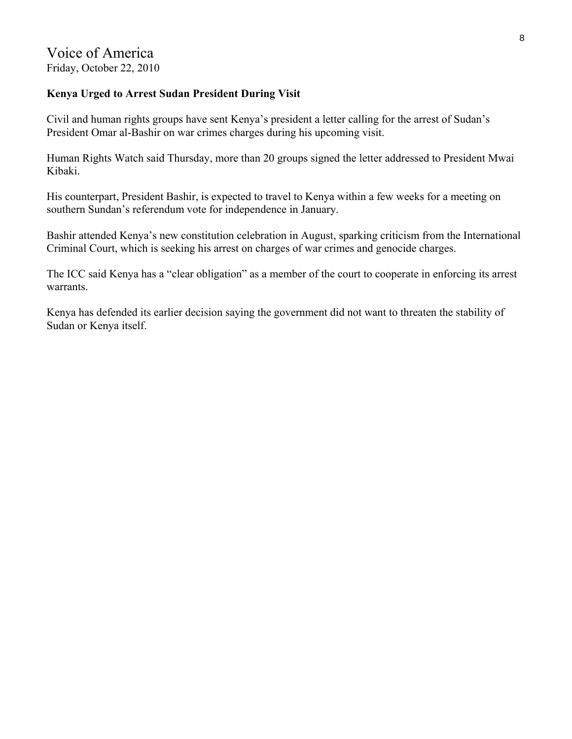#### **Kenya Urged to Arrest Sudan President During Visit**

Civil and human rights groups have sent Kenya's president a letter calling for the arrest of Sudan's President Omar al-Bashir on war crimes charges during his upcoming visit.

Human Rights Watch said Thursday, more than 20 groups signed the letter addressed to President Mwai Kibaki.

His counterpart, President Bashir, is expected to travel to Kenya within a few weeks for a meeting on southern Sundan's referendum vote for independence in January.

Bashir attended Kenya's new constitution celebration in August, sparking criticism from the International Criminal Court, which is seeking his arrest on charges of war crimes and genocide charges.

The ICC said Kenya has a "clear obligation" as a member of the court to cooperate in enforcing its arrest warrants.

Kenya has defended its earlier decision saying the government did not want to threaten the stability of Sudan or Kenya itself.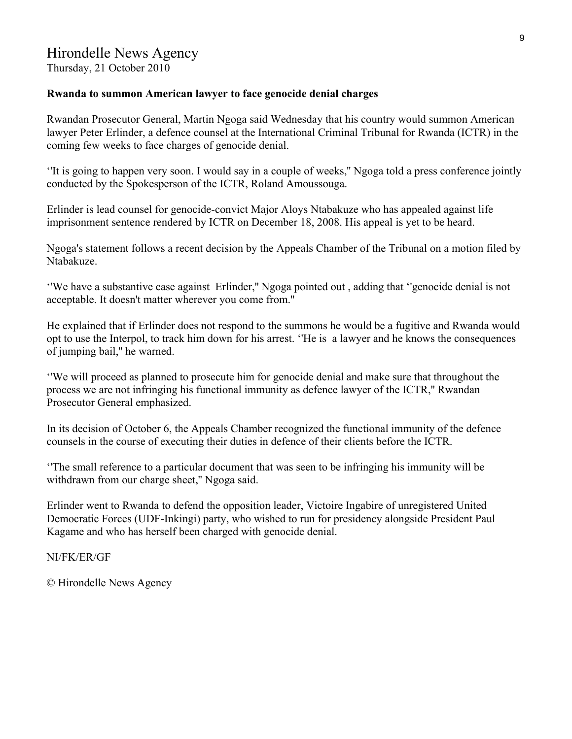#### **Rwanda to summon American lawyer to face genocide denial charges**

Rwandan Prosecutor General, Martin Ngoga said Wednesday that his country would summon American lawyer Peter Erlinder, a defence counsel at the International Criminal Tribunal for Rwanda (ICTR) in the coming few weeks to face charges of genocide denial.

''It is going to happen very soon. I would say in a couple of weeks,'' Ngoga told a press conference jointly conducted by the Spokesperson of the ICTR, Roland Amoussouga.

Erlinder is lead counsel for genocide-convict Major Aloys Ntabakuze who has appealed against life imprisonment sentence rendered by ICTR on December 18, 2008. His appeal is yet to be heard.

Ngoga's statement follows a recent decision by the Appeals Chamber of the Tribunal on a motion filed by Ntabakuze.

''We have a substantive case against Erlinder,'' Ngoga pointed out , adding that ''genocide denial is not acceptable. It doesn't matter wherever you come from.''

He explained that if Erlinder does not respond to the summons he would be a fugitive and Rwanda would opt to use the Interpol, to track him down for his arrest. ''He is a lawyer and he knows the consequences of jumping bail,'' he warned.

''We will proceed as planned to prosecute him for genocide denial and make sure that throughout the process we are not infringing his functional immunity as defence lawyer of the ICTR,'' Rwandan Prosecutor General emphasized.

In its decision of October 6, the Appeals Chamber recognized the functional immunity of the defence counsels in the course of executing their duties in defence of their clients before the ICTR.

''The small reference to a particular document that was seen to be infringing his immunity will be withdrawn from our charge sheet," Ngoga said.

Erlinder went to Rwanda to defend the opposition leader, Victoire Ingabire of unregistered United Democratic Forces (UDF-Inkingi) party, who wished to run for presidency alongside President Paul Kagame and who has herself been charged with genocide denial.

NI/FK/ER/GF

© Hirondelle News Agency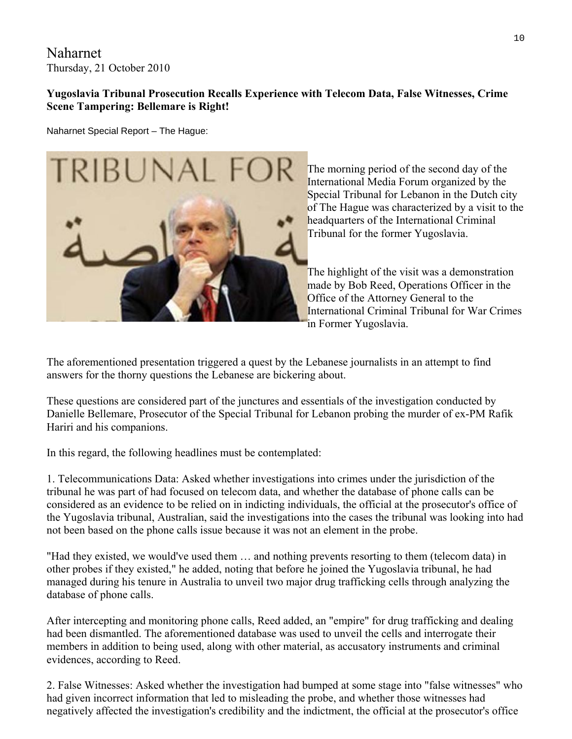Naharnet Thursday, 21 October 2010

### **Yugoslavia Tribunal Prosecution Recalls Experience with Telecom Data, False Witnesses, Crime Scene Tampering: Bellemare is Right!**

Naharnet Special Report – The Hague:



The morning period of the second day of the International Media Forum organized by the Special Tribunal for Lebanon in the Dutch city of The Hague was characterized by a visit to the headquarters of the International Criminal Tribunal for the former Yugoslavia.

The highlight of the visit was a demonstration made by Bob Reed, Operations Officer in the Office of the Attorney General to the International Criminal Tribunal for War Crimes in Former Yugoslavia.

The aforementioned presentation triggered a quest by the Lebanese journalists in an attempt to find answers for the thorny questions the Lebanese are bickering about.

These questions are considered part of the junctures and essentials of the investigation conducted by Danielle Bellemare, Prosecutor of the Special Tribunal for Lebanon probing the murder of ex-PM Rafik Hariri and his companions.

In this regard, the following headlines must be contemplated:

1. Telecommunications Data: Asked whether investigations into crimes under the jurisdiction of the tribunal he was part of had focused on telecom data, and whether the database of phone calls can be considered as an evidence to be relied on in indicting individuals, the official at the prosecutor's office of the Yugoslavia tribunal, Australian, said the investigations into the cases the tribunal was looking into had not been based on the phone calls issue because it was not an element in the probe.

"Had they existed, we would've used them … and nothing prevents resorting to them (telecom data) in other probes if they existed," he added, noting that before he joined the Yugoslavia tribunal, he had managed during his tenure in Australia to unveil two major drug trafficking cells through analyzing the database of phone calls.

After intercepting and monitoring phone calls, Reed added, an "empire" for drug trafficking and dealing had been dismantled. The aforementioned database was used to unveil the cells and interrogate their members in addition to being used, along with other material, as accusatory instruments and criminal evidences, according to Reed.

2. False Witnesses: Asked whether the investigation had bumped at some stage into "false witnesses" who had given incorrect information that led to misleading the probe, and whether those witnesses had negatively affected the investigation's credibility and the indictment, the official at the prosecutor's office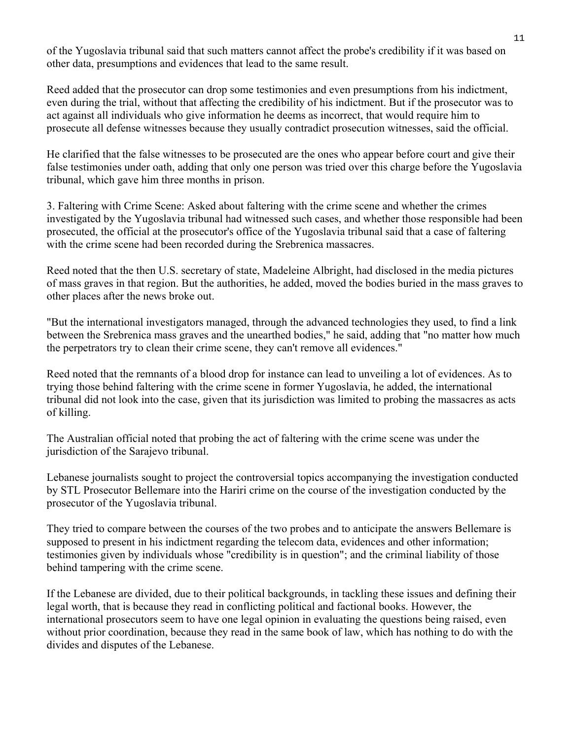of the Yugoslavia tribunal said that such matters cannot affect the probe's credibility if it was based on other data, presumptions and evidences that lead to the same result.

Reed added that the prosecutor can drop some testimonies and even presumptions from his indictment, even during the trial, without that affecting the credibility of his indictment. But if the prosecutor was to act against all individuals who give information he deems as incorrect, that would require him to prosecute all defense witnesses because they usually contradict prosecution witnesses, said the official.

He clarified that the false witnesses to be prosecuted are the ones who appear before court and give their false testimonies under oath, adding that only one person was tried over this charge before the Yugoslavia tribunal, which gave him three months in prison.

3. Faltering with Crime Scene: Asked about faltering with the crime scene and whether the crimes investigated by the Yugoslavia tribunal had witnessed such cases, and whether those responsible had been prosecuted, the official at the prosecutor's office of the Yugoslavia tribunal said that a case of faltering with the crime scene had been recorded during the Srebrenica massacres.

Reed noted that the then U.S. secretary of state, Madeleine Albright, had disclosed in the media pictures of mass graves in that region. But the authorities, he added, moved the bodies buried in the mass graves to other places after the news broke out.

"But the international investigators managed, through the advanced technologies they used, to find a link between the Srebrenica mass graves and the unearthed bodies," he said, adding that "no matter how much the perpetrators try to clean their crime scene, they can't remove all evidences."

Reed noted that the remnants of a blood drop for instance can lead to unveiling a lot of evidences. As to trying those behind faltering with the crime scene in former Yugoslavia, he added, the international tribunal did not look into the case, given that its jurisdiction was limited to probing the massacres as acts of killing.

The Australian official noted that probing the act of faltering with the crime scene was under the jurisdiction of the Sarajevo tribunal.

Lebanese journalists sought to project the controversial topics accompanying the investigation conducted by STL Prosecutor Bellemare into the Hariri crime on the course of the investigation conducted by the prosecutor of the Yugoslavia tribunal.

They tried to compare between the courses of the two probes and to anticipate the answers Bellemare is supposed to present in his indictment regarding the telecom data, evidences and other information; testimonies given by individuals whose "credibility is in question"; and the criminal liability of those behind tampering with the crime scene.

If the Lebanese are divided, due to their political backgrounds, in tackling these issues and defining their legal worth, that is because they read in conflicting political and factional books. However, the international prosecutors seem to have one legal opinion in evaluating the questions being raised, even without prior coordination, because they read in the same book of law, which has nothing to do with the divides and disputes of the Lebanese.